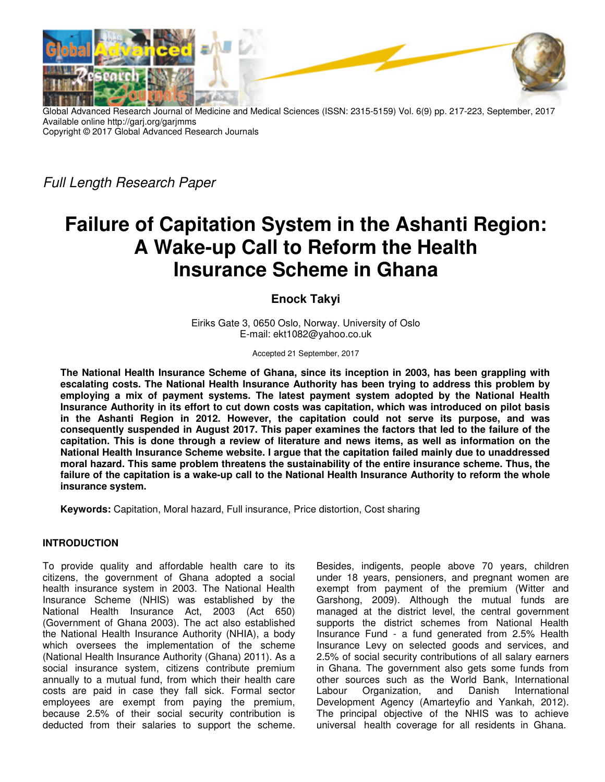

Global Advanced Research Journal of Medicine and Medical Sciences (ISSN: 2315-5159) Vol. 6(9) pp. 217-223, September, 2017 Available online http://garj.org/garjmms Copyright © 2017 Global Advanced Research Journals

Full Length Research Paper

# **Failure of Capitation System in the Ashanti Region: A Wake-up Call to Reform the Health Insurance Scheme in Ghana**

**Enock Takyi** 

Eiriks Gate 3, 0650 Oslo, Norway. University of Oslo E-mail: ekt1082@yahoo.co.uk

Accepted 21 September, 2017

**The National Health Insurance Scheme of Ghana, since its inception in 2003, has been grappling with escalating costs. The National Health Insurance Authority has been trying to address this problem by employing a mix of payment systems. The latest payment system adopted by the National Health Insurance Authority in its effort to cut down costs was capitation, which was introduced on pilot basis in the Ashanti Region in 2012. However, the capitation could not serve its purpose, and was consequently suspended in August 2017. This paper examines the factors that led to the failure of the capitation. This is done through a review of literature and news items, as well as information on the National Health Insurance Scheme website. I argue that the capitation failed mainly due to unaddressed moral hazard. This same problem threatens the sustainability of the entire insurance scheme. Thus, the failure of the capitation is a wake-up call to the National Health Insurance Authority to reform the whole insurance system.** 

**Keywords:** Capitation, Moral hazard, Full insurance, Price distortion, Cost sharing

#### **INTRODUCTION**

To provide quality and affordable health care to its citizens, the government of Ghana adopted a social health insurance system in 2003. The National Health Insurance Scheme (NHIS) was established by the National Health Insurance Act, 2003 (Act 650) (Government of Ghana 2003). The act also established the National Health Insurance Authority (NHIA), a body which oversees the implementation of the scheme (National Health Insurance Authority (Ghana) 2011). As a social insurance system, citizens contribute premium annually to a mutual fund, from which their health care costs are paid in case they fall sick. Formal sector employees are exempt from paying the premium, because 2.5% of their social security contribution is deducted from their salaries to support the scheme.

Besides, indigents, people above 70 years, children under 18 years, pensioners, and pregnant women are exempt from payment of the premium (Witter and Garshong, 2009). Although the mutual funds are managed at the district level, the central government supports the district schemes from National Health Insurance Fund - a fund generated from 2.5% Health Insurance Levy on selected goods and services, and 2.5% of social security contributions of all salary earners in Ghana. The government also gets some funds from other sources such as the World Bank, International Labour Organization, and Danish International Development Agency (Amarteyfio and Yankah, 2012). The principal objective of the NHIS was to achieve universal health coverage for all residents in Ghana.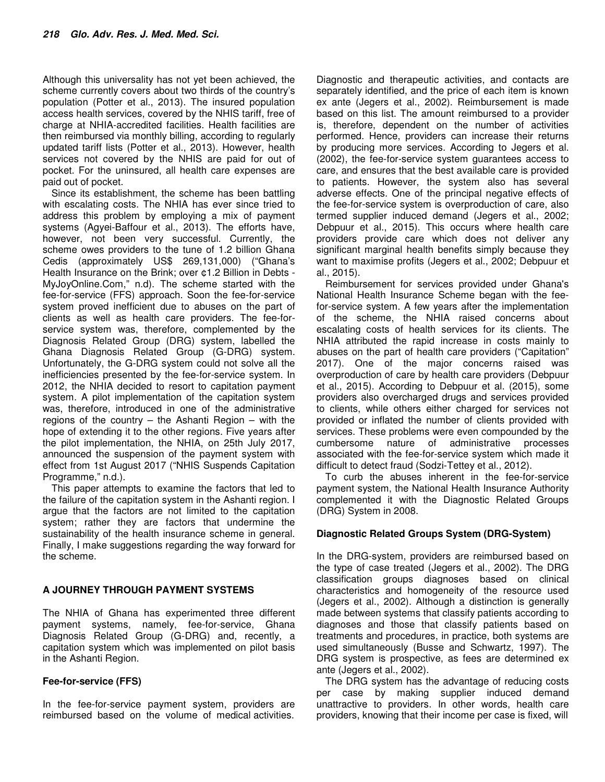Although this universality has not yet been achieved, the scheme currently covers about two thirds of the country's population (Potter et al., 2013). The insured population access health services, covered by the NHIS tariff, free of charge at NHIA-accredited facilities. Health facilities are then reimbursed via monthly billing, according to regularly updated tariff lists (Potter et al., 2013). However, health services not covered by the NHIS are paid for out of pocket. For the uninsured, all health care expenses are paid out of pocket.

Since its establishment, the scheme has been battling with escalating costs. The NHIA has ever since tried to address this problem by employing a mix of payment systems (Agyei-Baffour et al., 2013). The efforts have, however, not been very successful. Currently, the scheme owes providers to the tune of 1.2 billion Ghana Cedis (approximately US\$ 269,131,000) ("Ghana's Health Insurance on the Brink; over ¢1.2 Billion in Debts - MyJoyOnline.Com," n.d). The scheme started with the fee-for-service (FFS) approach. Soon the fee-for-service system proved inefficient due to abuses on the part of clients as well as health care providers. The fee-forservice system was, therefore, complemented by the Diagnosis Related Group (DRG) system, labelled the Ghana Diagnosis Related Group (G-DRG) system. Unfortunately, the G-DRG system could not solve all the inefficiencies presented by the fee-for-service system. In 2012, the NHIA decided to resort to capitation payment system. A pilot implementation of the capitation system was, therefore, introduced in one of the administrative regions of the country  $-$  the Ashanti Region  $-$  with the hope of extending it to the other regions. Five years after the pilot implementation, the NHIA, on 25th July 2017, announced the suspension of the payment system with effect from 1st August 2017 ("NHIS Suspends Capitation Programme," n.d.).

This paper attempts to examine the factors that led to the failure of the capitation system in the Ashanti region. I argue that the factors are not limited to the capitation system; rather they are factors that undermine the sustainability of the health insurance scheme in general. Finally, I make suggestions regarding the way forward for the scheme.

## **A JOURNEY THROUGH PAYMENT SYSTEMS**

The NHIA of Ghana has experimented three different payment systems, namely, fee-for-service, Ghana Diagnosis Related Group (G-DRG) and, recently, a capitation system which was implemented on pilot basis in the Ashanti Region.

## **Fee-for-service (FFS)**

In the fee-for-service payment system, providers are reimbursed based on the volume of medical activities.

Diagnostic and therapeutic activities, and contacts are separately identified, and the price of each item is known ex ante (Jegers et al., 2002). Reimbursement is made based on this list. The amount reimbursed to a provider is, therefore, dependent on the number of activities performed. Hence, providers can increase their returns by producing more services. According to Jegers et al. (2002), the fee-for-service system guarantees access to care, and ensures that the best available care is provided to patients. However, the system also has several adverse effects. One of the principal negative effects of the fee-for-service system is overproduction of care, also termed supplier induced demand (Jegers et al., 2002; Debpuur et al., 2015). This occurs where health care providers provide care which does not deliver any significant marginal health benefits simply because they want to maximise profits (Jegers et al., 2002; Debpuur et al., 2015).

Reimbursement for services provided under Ghana's National Health Insurance Scheme began with the feefor-service system. A few years after the implementation of the scheme, the NHIA raised concerns about escalating costs of health services for its clients. The NHIA attributed the rapid increase in costs mainly to abuses on the part of health care providers ("Capitation" 2017). One of the major concerns raised was overproduction of care by health care providers (Debpuur et al., 2015). According to Debpuur et al. (2015), some providers also overcharged drugs and services provided to clients, while others either charged for services not provided or inflated the number of clients provided with services. These problems were even compounded by the cumbersome nature of administrative processes associated with the fee-for-service system which made it difficult to detect fraud (Sodzi-Tettey et al., 2012).

To curb the abuses inherent in the fee-for-service payment system, the National Health Insurance Authority complemented it with the Diagnostic Related Groups (DRG) System in 2008.

## **Diagnostic Related Groups System (DRG-System)**

In the DRG-system, providers are reimbursed based on the type of case treated (Jegers et al., 2002). The DRG classification groups diagnoses based on clinical characteristics and homogeneity of the resource used (Jegers et al., 2002). Although a distinction is generally made between systems that classify patients according to diagnoses and those that classify patients based on treatments and procedures, in practice, both systems are used simultaneously (Busse and Schwartz, 1997). The DRG system is prospective, as fees are determined ex ante (Jegers et al., 2002).

The DRG system has the advantage of reducing costs per case by making supplier induced demand unattractive to providers. In other words, health care providers, knowing that their income per case is fixed, will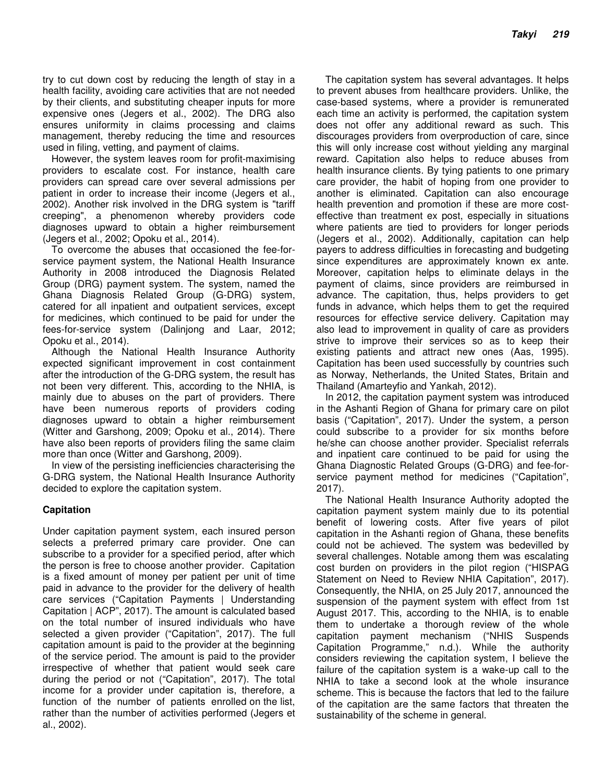try to cut down cost by reducing the length of stay in a health facility, avoiding care activities that are not needed by their clients, and substituting cheaper inputs for more expensive ones (Jegers et al., 2002). The DRG also ensures uniformity in claims processing and claims management, thereby reducing the time and resources used in filing, vetting, and payment of claims.

However, the system leaves room for profit-maximising providers to escalate cost. For instance, health care providers can spread care over several admissions per patient in order to increase their income (Jegers et al., 2002). Another risk involved in the DRG system is "tariff creeping", a phenomenon whereby providers code diagnoses upward to obtain a higher reimbursement (Jegers et al., 2002; Opoku et al., 2014).

To overcome the abuses that occasioned the fee-forservice payment system, the National Health Insurance Authority in 2008 introduced the Diagnosis Related Group (DRG) payment system. The system, named the Ghana Diagnosis Related Group (G-DRG) system, catered for all inpatient and outpatient services, except for medicines, which continued to be paid for under the fees-for-service system (Dalinjong and Laar, 2012; Opoku et al., 2014).

Although the National Health Insurance Authority expected significant improvement in cost containment after the introduction of the G-DRG system, the result has not been very different. This, according to the NHIA, is mainly due to abuses on the part of providers. There have been numerous reports of providers coding diagnoses upward to obtain a higher reimbursement (Witter and Garshong, 2009; Opoku et al., 2014). There have also been reports of providers filing the same claim more than once (Witter and Garshong, 2009).

In view of the persisting inefficiencies characterising the G-DRG system, the National Health Insurance Authority decided to explore the capitation system.

#### **Capitation**

Under capitation payment system, each insured person selects a preferred primary care provider. One can subscribe to a provider for a specified period, after which the person is free to choose another provider. Capitation is a fixed amount of money per patient per unit of time paid in advance to the provider for the delivery of health care services ("Capitation Payments | Understanding Capitation | ACP", 2017). The amount is calculated based on the total number of insured individuals who have selected a given provider ("Capitation", 2017). The full capitation amount is paid to the provider at the beginning of the service period. The amount is paid to the provider irrespective of whether that patient would seek care during the period or not ("Capitation", 2017). The total income for a provider under capitation is, therefore, a function of the number of patients enrolled on the list, rather than the number of activities performed (Jegers et al., 2002).

The capitation system has several advantages. It helps to prevent abuses from healthcare providers. Unlike, the case-based systems, where a provider is remunerated each time an activity is performed, the capitation system does not offer any additional reward as such. This discourages providers from overproduction of care, since this will only increase cost without yielding any marginal reward. Capitation also helps to reduce abuses from health insurance clients. By tying patients to one primary care provider, the habit of hoping from one provider to another is eliminated. Capitation can also encourage health prevention and promotion if these are more costeffective than treatment ex post, especially in situations where patients are tied to providers for longer periods (Jegers et al., 2002). Additionally, capitation can help payers to address difficulties in forecasting and budgeting since expenditures are approximately known ex ante. Moreover, capitation helps to eliminate delays in the payment of claims, since providers are reimbursed in advance. The capitation, thus, helps providers to get funds in advance, which helps them to get the required resources for effective service delivery. Capitation may also lead to improvement in quality of care as providers strive to improve their services so as to keep their existing patients and attract new ones (Aas, 1995). Capitation has been used successfully by countries such as Norway, Netherlands, the United States, Britain and Thailand (Amarteyfio and Yankah, 2012).

In 2012, the capitation payment system was introduced in the Ashanti Region of Ghana for primary care on pilot basis ("Capitation", 2017). Under the system, a person could subscribe to a provider for six months before he/she can choose another provider. Specialist referrals and inpatient care continued to be paid for using the Ghana Diagnostic Related Groups (G-DRG) and fee-forservice payment method for medicines ("Capitation", 2017).

The National Health Insurance Authority adopted the capitation payment system mainly due to its potential benefit of lowering costs. After five years of pilot capitation in the Ashanti region of Ghana, these benefits could not be achieved. The system was bedevilled by several challenges. Notable among them was escalating cost burden on providers in the pilot region ("HISPAG Statement on Need to Review NHIA Capitation", 2017). Consequently, the NHIA, on 25 July 2017, announced the suspension of the payment system with effect from 1st August 2017. This, according to the NHIA, is to enable them to undertake a thorough review of the whole capitation payment mechanism ("NHIS Suspends Capitation Programme," n.d.). While the authority considers reviewing the capitation system, I believe the failure of the capitation system is a wake-up call to the NHIA to take a second look at the whole insurance scheme. This is because the factors that led to the failure of the capitation are the same factors that threaten the sustainability of the scheme in general.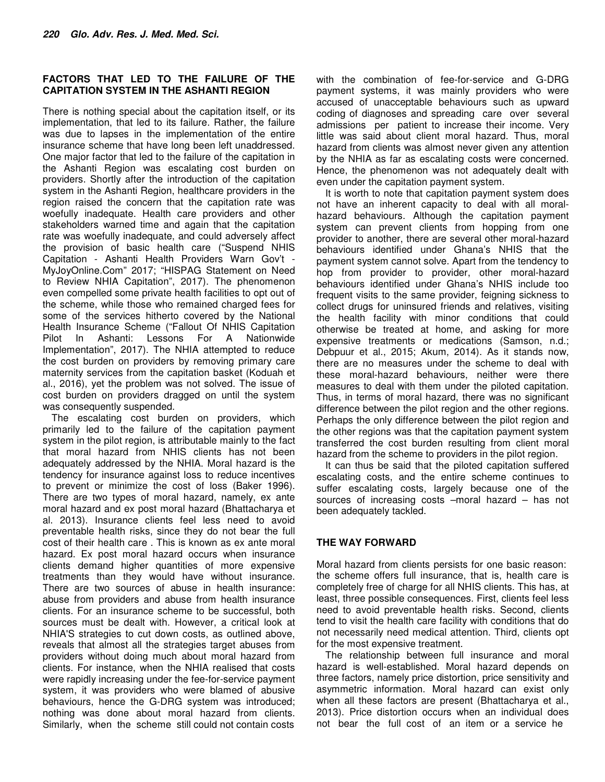#### **FACTORS THAT LED TO THE FAILURE OF THE CAPITATION SYSTEM IN THE ASHANTI REGION**

There is nothing special about the capitation itself, or its implementation, that led to its failure. Rather, the failure was due to lapses in the implementation of the entire insurance scheme that have long been left unaddressed. One major factor that led to the failure of the capitation in the Ashanti Region was escalating cost burden on providers. Shortly after the introduction of the capitation system in the Ashanti Region, healthcare providers in the region raised the concern that the capitation rate was woefully inadequate. Health care providers and other stakeholders warned time and again that the capitation rate was woefully inadequate, and could adversely affect the provision of basic health care ("Suspend NHIS Capitation - Ashanti Health Providers Warn Gov't - MyJoyOnline.Com" 2017; "HISPAG Statement on Need to Review NHIA Capitation", 2017). The phenomenon even compelled some private health facilities to opt out of the scheme, while those who remained charged fees for some of the services hitherto covered by the National Health Insurance Scheme ("Fallout Of NHIS Capitation Pilot In Ashanti: Lessons For A Nationwide Implementation", 2017). The NHIA attempted to reduce the cost burden on providers by removing primary care maternity services from the capitation basket (Koduah et al., 2016), yet the problem was not solved. The issue of cost burden on providers dragged on until the system was consequently suspended.

The escalating cost burden on providers, which primarily led to the failure of the capitation payment system in the pilot region, is attributable mainly to the fact that moral hazard from NHIS clients has not been adequately addressed by the NHIA. Moral hazard is the tendency for insurance against loss to reduce incentives to prevent or minimize the cost of loss (Baker 1996). There are two types of moral hazard, namely, ex ante moral hazard and ex post moral hazard (Bhattacharya et al. 2013). Insurance clients feel less need to avoid preventable health risks, since they do not bear the full cost of their health care . This is known as ex ante moral hazard. Ex post moral hazard occurs when insurance clients demand higher quantities of more expensive treatments than they would have without insurance. There are two sources of abuse in health insurance: abuse from providers and abuse from health insurance clients. For an insurance scheme to be successful, both sources must be dealt with. However, a critical look at NHIA'S strategies to cut down costs, as outlined above, reveals that almost all the strategies target abuses from providers without doing much about moral hazard from clients. For instance, when the NHIA realised that costs were rapidly increasing under the fee-for-service payment system, it was providers who were blamed of abusive behaviours, hence the G-DRG system was introduced; nothing was done about moral hazard from clients. Similarly, when the scheme still could not contain costs

with the combination of fee-for-service and G-DRG payment systems, it was mainly providers who were accused of unacceptable behaviours such as upward coding of diagnoses and spreading care over several admissions per patient to increase their income. Very little was said about client moral hazard. Thus, moral hazard from clients was almost never given any attention by the NHIA as far as escalating costs were concerned. Hence, the phenomenon was not adequately dealt with even under the capitation payment system.

It is worth to note that capitation payment system does not have an inherent capacity to deal with all moralhazard behaviours. Although the capitation payment system can prevent clients from hopping from one provider to another, there are several other moral-hazard behaviours identified under Ghana's NHIS that the payment system cannot solve. Apart from the tendency to hop from provider to provider, other moral-hazard behaviours identified under Ghana's NHIS include too frequent visits to the same provider, feigning sickness to collect drugs for uninsured friends and relatives, visiting the health facility with minor conditions that could otherwise be treated at home, and asking for more expensive treatments or medications (Samson, n.d.; Debpuur et al., 2015; Akum, 2014). As it stands now, there are no measures under the scheme to deal with these moral-hazard behaviours, neither were there measures to deal with them under the piloted capitation. Thus, in terms of moral hazard, there was no significant difference between the pilot region and the other regions. Perhaps the only difference between the pilot region and the other regions was that the capitation payment system transferred the cost burden resulting from client moral hazard from the scheme to providers in the pilot region.

It can thus be said that the piloted capitation suffered escalating costs, and the entire scheme continues to suffer escalating costs, largely because one of the sources of increasing costs –moral hazard – has not been adequately tackled.

## **THE WAY FORWARD**

Moral hazard from clients persists for one basic reason: the scheme offers full insurance, that is, health care is completely free of charge for all NHIS clients. This has, at least, three possible consequences. First, clients feel less need to avoid preventable health risks. Second, clients tend to visit the health care facility with conditions that do not necessarily need medical attention. Third, clients opt for the most expensive treatment.

The relationship between full insurance and moral hazard is well-established. Moral hazard depends on three factors, namely price distortion, price sensitivity and asymmetric information. Moral hazard can exist only when all these factors are present (Bhattacharya et al., 2013). Price distortion occurs when an individual does not bear the full cost of an item or a service he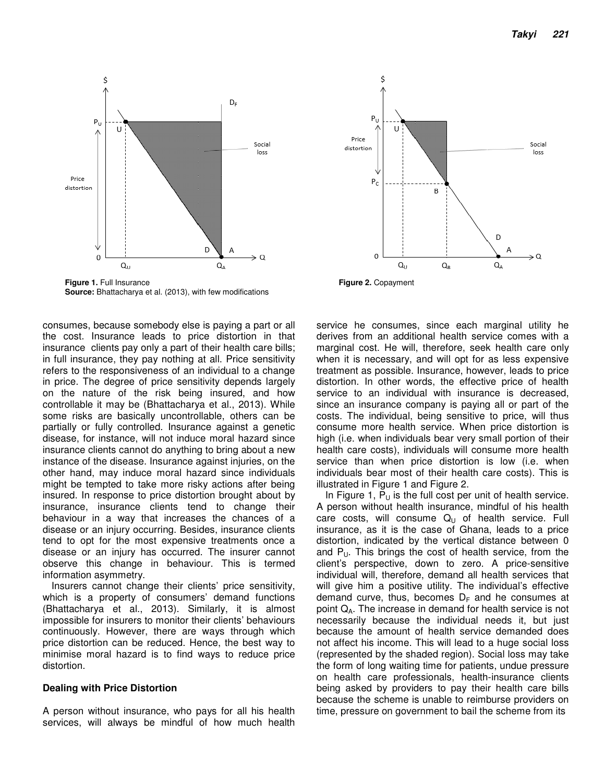

**Figure 1.** Full Insurance **Figure 2.** Copayment **Source:** Bhattacharya et al. (2013), with few modifications

consumes, because somebody else is paying a part or all the cost. Insurance leads to price distortion in that insurance clients pay only a part of their health care bills; in full insurance, they pay nothing at all. Price sensitivity refers to the responsiveness of an individual to a change in price. The degree of price sensitivity depends largely on the nature of the risk being insured, and how controllable it may be (Bhattacharya et al., 2013). While some risks are basically uncontrollable, others can be partially or fully controlled. Insurance against a genetic disease, for instance, will not induce moral hazard since insurance clients cannot do anything to bring about a new instance of the disease. Insurance against injuries, on the other hand, may induce moral hazard since individuals might be tempted to take more risky actions after being insured. In response to price distortion brought about by insurance, insurance clients tend to change their behaviour in a way that increases the chances of a disease or an injury occurring. Besides, insurance clients tend to opt for the most expensive treatments once a disease or an injury has occurred. The insurer cannot observe this change in behaviour. This is termed information asymmetry.

Insurers cannot change their clients' price sensitivity, which is a property of consumers' demand functions (Bhattacharya et al., 2013). Similarly, it is almost impossible for insurers to monitor their clients' behaviours continuously. However, there are ways through which price distortion can be reduced. Hence, the best way to minimise moral hazard is to find ways to reduce price distortion.

#### **Dealing with Price Distortion**

A person without insurance, who pays for all his health services, will always be mindful of how much health



service he consumes, since each marginal utility he derives from an additional health service comes with a marginal cost. He will, therefore, seek health care only when it is necessary, and will opt for as less expensive treatment as possible. Insurance, however, leads to price distortion. In other words, the effective price of health service to an individual with insurance is decreased, since an insurance company is paying all or part of the costs. The individual, being sensitive to price, will thus consume more health service. When price distortion is high (i.e. when individuals bear very small portion of their health care costs), individuals will consume more health service than when price distortion is low (i.e. when individuals bear most of their health care costs). This is illustrated in Figure 1 and Figure 2.

In Figure 1,  $P_U$  is the full cost per unit of health service. A person without health insurance, mindful of his health care costs, will consume  $Q_{U}$  of health service. Full insurance, as it is the case of Ghana, leads to a price distortion, indicated by the vertical distance between 0 and  $P_{U}$ . This brings the cost of health service, from the client's perspective, down to zero. A price-sensitive individual will, therefore, demand all health services that will give him a positive utility. The individual's effective demand curve, thus, becomes  $D_F$  and he consumes at point QA. The increase in demand for health service is not necessarily because the individual needs it, but just because the amount of health service demanded does not affect his income. This will lead to a huge social loss (represented by the shaded region). Social loss may take the form of long waiting time for patients, undue pressure on health care professionals, health-insurance clients being asked by providers to pay their health care bills because the scheme is unable to reimburse providers on time, pressure on government to bail the scheme from its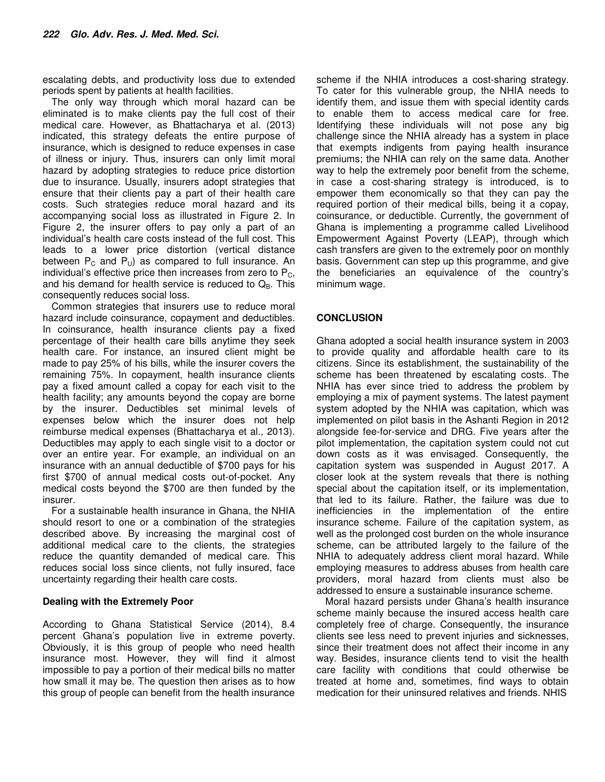escalating debts, and productivity loss due to extended periods spent by patients at health facilities.

The only way through which moral hazard can be eliminated is to make clients pay the full cost of their medical care. However, as Bhattacharya et al. (2013) indicated, this strategy defeats the entire purpose of insurance, which is designed to reduce expenses in case of illness or injury. Thus, insurers can only limit moral hazard by adopting strategies to reduce price distortion due to insurance. Usually, insurers adopt strategies that ensure that their clients pay a part of their health care costs. Such strategies reduce moral hazard and its accompanying social loss as illustrated in Figure 2. In Figure 2, the insurer offers to pay only a part of an individual's health care costs instead of the full cost. This leads to a lower price distortion (vertical distance between  $P_C$  and  $P_U$ ) as compared to full insurance. An individual's effective price then increases from zero to  $P_C$ , and his demand for health service is reduced to  $Q_B$ . This consequently reduces social loss.

Common strategies that insurers use to reduce moral hazard include coinsurance, copayment and deductibles. In coinsurance, health insurance clients pay a fixed percentage of their health care bills anytime they seek health care. For instance, an insured client might be made to pay 25% of his bills, while the insurer covers the remaining 75%. In copayment, health insurance clients pay a fixed amount called a copay for each visit to the health facility; any amounts beyond the copay are borne by the insurer. Deductibles set minimal levels of expenses below which the insurer does not help reimburse medical expenses (Bhattacharya et al., 2013). Deductibles may apply to each single visit to a doctor or over an entire year. For example, an individual on an insurance with an annual deductible of \$700 pays for his first \$700 of annual medical costs out-of-pocket. Any medical costs beyond the \$700 are then funded by the insurer.

For a sustainable health insurance in Ghana, the NHIA should resort to one or a combination of the strategies described above. By increasing the marginal cost of additional medical care to the clients, the strategies reduce the quantity demanded of medical care. This reduces social loss since clients, not fully insured, face uncertainty regarding their health care costs.

#### **Dealing with the Extremely Poor**

According to Ghana Statistical Service (2014), 8.4 percent Ghana's population live in extreme poverty. Obviously, it is this group of people who need health insurance most. However, they will find it almost impossible to pay a portion of their medical bills no matter how small it may be. The question then arises as to how this group of people can benefit from the health insurance scheme if the NHIA introduces a cost-sharing strategy. To cater for this vulnerable group, the NHIA needs to identify them, and issue them with special identity cards to enable them to access medical care for free. Identifying these individuals will not pose any big challenge since the NHIA already has a system in place that exempts indigents from paying health insurance premiums; the NHIA can rely on the same data. Another way to help the extremely poor benefit from the scheme, in case a cost-sharing strategy is introduced, is to empower them economically so that they can pay the required portion of their medical bills, being it a copay, coinsurance, or deductible. Currently, the government of Ghana is implementing a programme called Livelihood Empowerment Against Poverty (LEAP), through which cash transfers are given to the extremely poor on monthly basis. Government can step up this programme, and give the beneficiaries an equivalence of the country's minimum wage.

## **CONCLUSION**

Ghana adopted a social health insurance system in 2003 to provide quality and affordable health care to its citizens. Since its establishment, the sustainability of the scheme has been threatened by escalating costs. The NHIA has ever since tried to address the problem by employing a mix of payment systems. The latest payment system adopted by the NHIA was capitation, which was implemented on pilot basis in the Ashanti Region in 2012 alongside fee-for-service and DRG. Five years after the pilot implementation, the capitation system could not cut down costs as it was envisaged. Consequently, the capitation system was suspended in August 2017. A closer look at the system reveals that there is nothing special about the capitation itself, or its implementation, that led to its failure. Rather, the failure was due to inefficiencies in the implementation of the entire insurance scheme. Failure of the capitation system, as well as the prolonged cost burden on the whole insurance scheme, can be attributed largely to the failure of the NHIA to adequately address client moral hazard. While employing measures to address abuses from health care providers, moral hazard from clients must also be addressed to ensure a sustainable insurance scheme.

Moral hazard persists under Ghana's health insurance scheme mainly because the insured access health care completely free of charge. Consequently, the insurance clients see less need to prevent injuries and sicknesses, since their treatment does not affect their income in any way. Besides, insurance clients tend to visit the health care facility with conditions that could otherwise be treated at home and, sometimes, find ways to obtain medication for their uninsured relatives and friends. NHIS